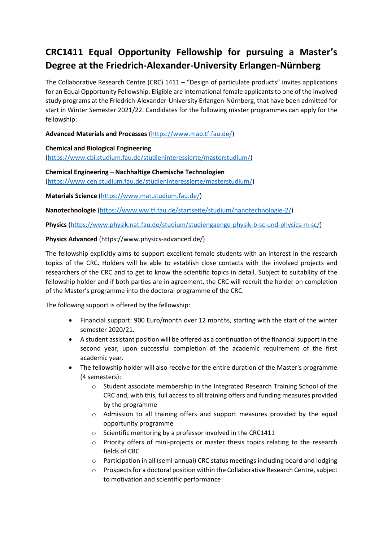# **CRC1411 Equal Opportunity Fellowship for pursuing a Master's Degree at the Friedrich-Alexander-University Erlangen-Nürnberg**

The Collaborative Research Centre (CRC)  $1411 -$  "Design of particulate products" invites applications for an Equal Opportunity Fellowship. Eligible are international female applicants to one of the involved study programs at the Friedrich-Alexander-University Erlangen-Nürnberg, that have been admitted for start in Winter Semester 2021/22. Candidates for the following master programmes can apply for the fellowship:

**Advanced Materials and Processes** [\(https://www.map.tf.fau.de/\)](https://www.map.tf.fau.de/)

**Chemical and Biological Engineering** [\(https://www.cbi.studium.fau.de/studieninteressierte/masterstudium/\)](https://www.cbi.studium.fau.de/studieninteressierte/masterstudium/)

**Chemical Engineering – Nachhaltige Chemische Technologien** [\(https://www.cen.studium.fau.de/studieninteressierte/masterstudium/\)](https://www.cen.studium.fau.de/studieninteressierte/masterstudium/)

**Materials Science** [\(https://www.mat.studium.fau.de/\)](https://www.mat.studium.fau.de/)

**Nanotechnologie** [\(https://www.ww.tf.fau.de/startseite/studium/nanotechnologie-2/\)](https://www.ww.tf.fau.de/startseite/studium/nanotechnologie-2/)

**Physics** [\(https://www.physik.nat.fau.de/studium/studiengaenge-physik-b-sc-und-physics-m-sc/\)](https://www.physik.nat.fau.de/studium/studiengaenge-physik-b-sc-und-physics-m-sc/)

## **Physics Advanced** (https://www.physics-advanced.de/)

The fellowship explicitly aims to support excellent female students with an interest in the research topics of the CRC. Holders will be able to establish close contacts with the involved projects and researchers of the CRC and to get to know the scientific topics in detail. Subject to suitability of the fellowship holder and if both parties are in agreement, the CRC will recruit the holder on completion of the Master's programme into the doctoral programme of the CRC.

The following support is offered by the fellowship:

- Financial support: 900 Euro/month over 12 months, starting with the start of the winter semester 2020/21.
- A student assistant position will be offered as a continuation of the financial support in the second year, upon successful completion of the academic requirement of the first academic year.
- The fellowship holder will also receive for the entire duration of the Master's programme (4 semesters):
	- o Student associate membership in the Integrated Research Training School of the CRC and, with this, full access to all training offers and funding measures provided by the programme
	- $\circ$  Admission to all training offers and support measures provided by the equal opportunity programme
	- $\circ$  Scientific mentoring by a professor involved in the CRC1411
	- $\circ$  Priority offers of mini-projects or master thesis topics relating to the research fields of CRC
	- $\circ$  Participation in all (semi-annual) CRC status meetings including board and lodging
	- $\circ$  Prospects for a doctoral position within the Collaborative Research Centre, subject to motivation and scientific performance